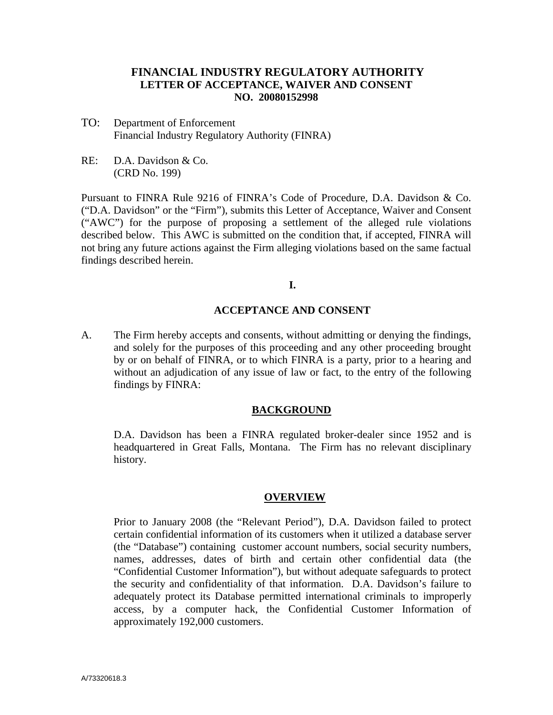# **FINANCIAL INDUSTRY REGULATORY AUTHORITY LETTER OF ACCEPTANCE, WAIVER AND CONSENT NO. 20080152998**

- TO: Department of Enforcement Financial Industry Regulatory Authority (FINRA)
- RE: D.A. Davidson & Co. (CRD No. 199)

Pursuant to FINRA Rule 9216 of FINRA's Code of Procedure, D.A. Davidson & Co. ("D.A. Davidson" or the "Firm"), submits this Letter of Acceptance, Waiver and Consent ("AWC") for the purpose of proposing a settlement of the alleged rule violations described below. This AWC is submitted on the condition that, if accepted, FINRA will not bring any future actions against the Firm alleging violations based on the same factual findings described herein.

# **I.**

# **ACCEPTANCE AND CONSENT**

A. The Firm hereby accepts and consents, without admitting or denying the findings, and solely for the purposes of this proceeding and any other proceeding brought by or on behalf of FINRA, or to which FINRA is a party, prior to a hearing and without an adjudication of any issue of law or fact, to the entry of the following findings by FINRA:

# **BACKGROUND**

D.A. Davidson has been a FINRA regulated broker-dealer since 1952 and is headquartered in Great Falls, Montana. The Firm has no relevant disciplinary history.

#### **OVERVIEW**

Prior to January 2008 (the "Relevant Period"), D.A. Davidson failed to protect certain confidential information of its customers when it utilized a database server (the "Database") containing customer account numbers, social security numbers, names, addresses, dates of birth and certain other confidential data (the "Confidential Customer Information"), but without adequate safeguards to protect the security and confidentiality of that information. D.A. Davidson's failure to adequately protect its Database permitted international criminals to improperly access, by a computer hack, the Confidential Customer Information of approximately 192,000 customers.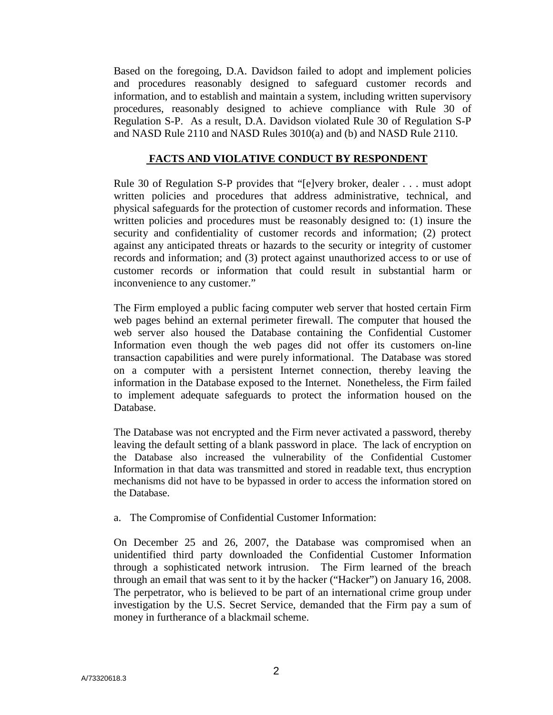Based on the foregoing, D.A. Davidson failed to adopt and implement policies and procedures reasonably designed to safeguard customer records and information, and to establish and maintain a system, including written supervisory procedures, reasonably designed to achieve compliance with Rule 30 of Regulation S-P. As a result, D.A. Davidson violated Rule 30 of Regulation S-P and NASD Rule 2110 and NASD Rules 3010(a) and (b) and NASD Rule 2110.

# **FACTS AND VIOLATIVE CONDUCT BY RESPONDENT**

Rule 30 of Regulation S-P provides that "[e]very broker, dealer . . . must adopt written policies and procedures that address administrative, technical, and physical safeguards for the protection of customer records and information. These written policies and procedures must be reasonably designed to: (1) insure the security and confidentiality of customer records and information; (2) protect against any anticipated threats or hazards to the security or integrity of customer records and information; and (3) protect against unauthorized access to or use of customer records or information that could result in substantial harm or inconvenience to any customer."

The Firm employed a public facing computer web server that hosted certain Firm web pages behind an external perimeter firewall. The computer that housed the web server also housed the Database containing the Confidential Customer Information even though the web pages did not offer its customers on-line transaction capabilities and were purely informational. The Database was stored on a computer with a persistent Internet connection, thereby leaving the information in the Database exposed to the Internet. Nonetheless, the Firm failed to implement adequate safeguards to protect the information housed on the Database.

The Database was not encrypted and the Firm never activated a password, thereby leaving the default setting of a blank password in place. The lack of encryption on the Database also increased the vulnerability of the Confidential Customer Information in that data was transmitted and stored in readable text, thus encryption mechanisms did not have to be bypassed in order to access the information stored on the Database.

a. The Compromise of Confidential Customer Information:

On December 25 and 26, 2007, the Database was compromised when an unidentified third party downloaded the Confidential Customer Information through a sophisticated network intrusion. The Firm learned of the breach through an email that was sent to it by the hacker ("Hacker") on January 16, 2008. The perpetrator, who is believed to be part of an international crime group under investigation by the U.S. Secret Service, demanded that the Firm pay a sum of money in furtherance of a blackmail scheme.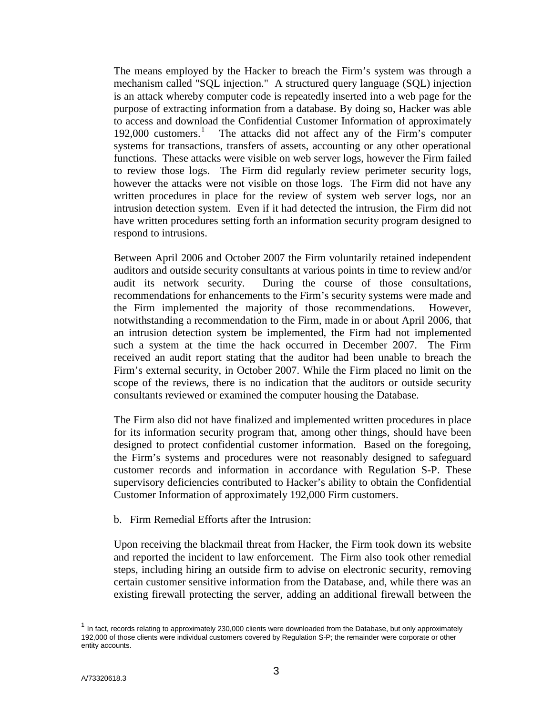The means employed by the Hacker to breach the Firm's system was through a mechanism called "SQL injection." A structured query language (SQL) injection is an attack whereby computer code is repeatedly inserted into a web page for the purpose of extracting information from a database. By doing so, Hacker was able to access and download the Confidential Customer Information of approximately [1](#page-2-0)92,000 customers.<sup>1</sup> The attacks did not affect any of the Firm's computer systems for transactions, transfers of assets, accounting or any other operational functions. These attacks were visible on web server logs, however the Firm failed to review those logs. The Firm did regularly review perimeter security logs, however the attacks were not visible on those logs. The Firm did not have any written procedures in place for the review of system web server logs, nor an intrusion detection system. Even if it had detected the intrusion, the Firm did not have written procedures setting forth an information security program designed to respond to intrusions.

Between April 2006 and October 2007 the Firm voluntarily retained independent auditors and outside security consultants at various points in time to review and/or audit its network security. During the course of those consultations, recommendations for enhancements to the Firm's security systems were made and the Firm implemented the majority of those recommendations. However, notwithstanding a recommendation to the Firm, made in or about April 2006, that an intrusion detection system be implemented, the Firm had not implemented such a system at the time the hack occurred in December 2007. The Firm received an audit report stating that the auditor had been unable to breach the Firm's external security, in October 2007. While the Firm placed no limit on the scope of the reviews, there is no indication that the auditors or outside security consultants reviewed or examined the computer housing the Database.

The Firm also did not have finalized and implemented written procedures in place for its information security program that, among other things, should have been designed to protect confidential customer information. Based on the foregoing, the Firm's systems and procedures were not reasonably designed to safeguard customer records and information in accordance with Regulation S-P. These supervisory deficiencies contributed to Hacker's ability to obtain the Confidential Customer Information of approximately 192,000 Firm customers.

b. Firm Remedial Efforts after the Intrusion:

Upon receiving the blackmail threat from Hacker, the Firm took down its website and reported the incident to law enforcement. The Firm also took other remedial steps, including hiring an outside firm to advise on electronic security, removing certain customer sensitive information from the Database, and, while there was an existing firewall protecting the server, adding an additional firewall between the

<span id="page-2-0"></span>In fact, records relating to approximately 230,000 clients were downloaded from the Database, but only approximately 192,000 of those clients were individual customers covered by Regulation S-P; the remainder were corporate or other entity accounts.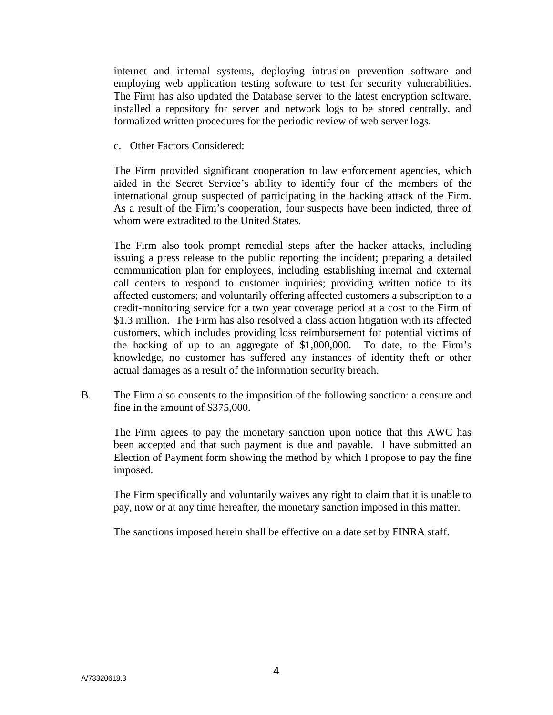internet and internal systems, deploying intrusion prevention software and employing web application testing software to test for security vulnerabilities. The Firm has also updated the Database server to the latest encryption software, installed a repository for server and network logs to be stored centrally, and formalized written procedures for the periodic review of web server logs.

c. Other Factors Considered:

The Firm provided significant cooperation to law enforcement agencies, which aided in the Secret Service's ability to identify four of the members of the international group suspected of participating in the hacking attack of the Firm. As a result of the Firm's cooperation, four suspects have been indicted, three of whom were extradited to the United States.

The Firm also took prompt remedial steps after the hacker attacks, including issuing a press release to the public reporting the incident; preparing a detailed communication plan for employees, including establishing internal and external call centers to respond to customer inquiries; providing written notice to its affected customers; and voluntarily offering affected customers a subscription to a credit-monitoring service for a two year coverage period at a cost to the Firm of \$1.3 million. The Firm has also resolved a class action litigation with its affected customers, which includes providing loss reimbursement for potential victims of the hacking of up to an aggregate of \$1,000,000. To date, to the Firm's knowledge, no customer has suffered any instances of identity theft or other actual damages as a result of the information security breach.

B. The Firm also consents to the imposition of the following sanction: a censure and fine in the amount of \$375,000.

The Firm agrees to pay the monetary sanction upon notice that this AWC has been accepted and that such payment is due and payable. I have submitted an Election of Payment form showing the method by which I propose to pay the fine imposed.

The Firm specifically and voluntarily waives any right to claim that it is unable to pay, now or at any time hereafter, the monetary sanction imposed in this matter.

The sanctions imposed herein shall be effective on a date set by FINRA staff.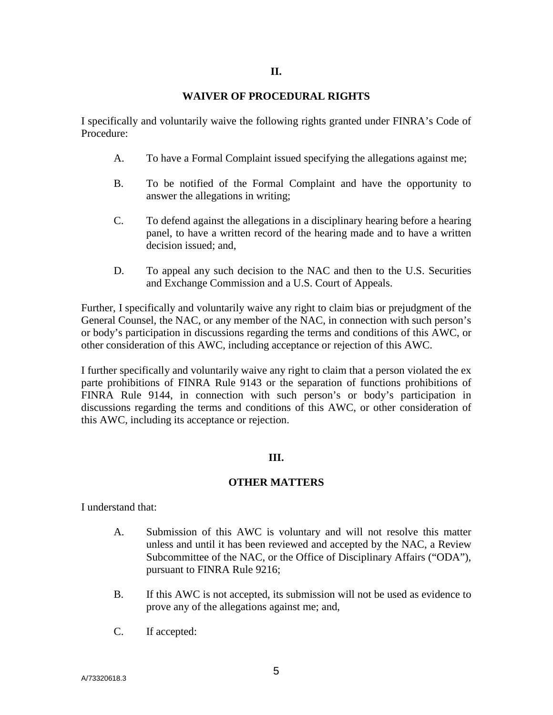### **WAIVER OF PROCEDURAL RIGHTS**

I specifically and voluntarily waive the following rights granted under FINRA's Code of Procedure:

- A. To have a Formal Complaint issued specifying the allegations against me;
- B. To be notified of the Formal Complaint and have the opportunity to answer the allegations in writing;
- C. To defend against the allegations in a disciplinary hearing before a hearing panel, to have a written record of the hearing made and to have a written decision issued; and,
- D. To appeal any such decision to the NAC and then to the U.S. Securities and Exchange Commission and a U.S. Court of Appeals.

Further, I specifically and voluntarily waive any right to claim bias or prejudgment of the General Counsel, the NAC, or any member of the NAC, in connection with such person's or body's participation in discussions regarding the terms and conditions of this AWC, or other consideration of this AWC, including acceptance or rejection of this AWC.

I further specifically and voluntarily waive any right to claim that a person violated the ex parte prohibitions of FINRA Rule 9143 or the separation of functions prohibitions of FINRA Rule 9144, in connection with such person's or body's participation in discussions regarding the terms and conditions of this AWC, or other consideration of this AWC, including its acceptance or rejection.

# **III.**

# **OTHER MATTERS**

I understand that:

- A. Submission of this AWC is voluntary and will not resolve this matter unless and until it has been reviewed and accepted by the NAC, a Review Subcommittee of the NAC, or the Office of Disciplinary Affairs ("ODA"), pursuant to FINRA Rule 9216;
- B. If this AWC is not accepted, its submission will not be used as evidence to prove any of the allegations against me; and,
- C. If accepted: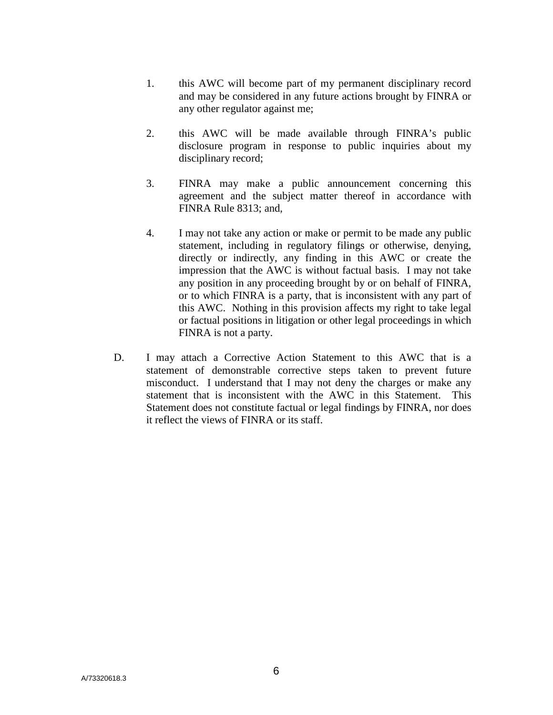- 1. this AWC will become part of my permanent disciplinary record and may be considered in any future actions brought by FINRA or any other regulator against me;
- 2. this AWC will be made available through FINRA's public disclosure program in response to public inquiries about my disciplinary record;
- 3. FINRA may make a public announcement concerning this agreement and the subject matter thereof in accordance with FINRA Rule 8313; and,
- 4. I may not take any action or make or permit to be made any public statement, including in regulatory filings or otherwise, denying, directly or indirectly, any finding in this AWC or create the impression that the AWC is without factual basis. I may not take any position in any proceeding brought by or on behalf of FINRA, or to which FINRA is a party, that is inconsistent with any part of this AWC. Nothing in this provision affects my right to take legal or factual positions in litigation or other legal proceedings in which FINRA is not a party.
- D. I may attach a Corrective Action Statement to this AWC that is a statement of demonstrable corrective steps taken to prevent future misconduct. I understand that I may not deny the charges or make any statement that is inconsistent with the AWC in this Statement. This Statement does not constitute factual or legal findings by FINRA, nor does it reflect the views of FINRA or its staff.